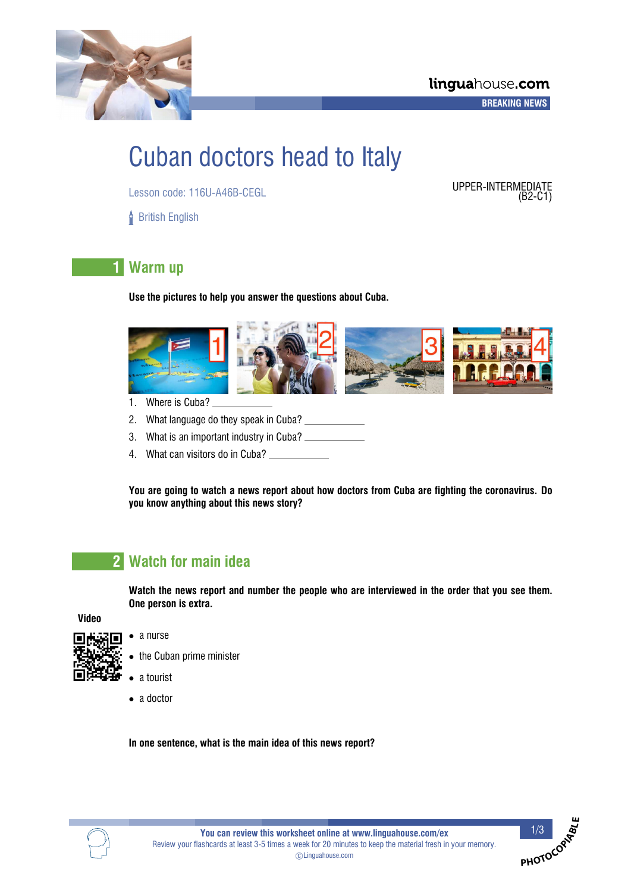

# Cuban doctors head to Italy

Lesson code: 116U-A46B-CEGL UPPER-INTERMEDIATE

**British English** 

 $(B2-C1)$ 

**PHOTOCOP<sup>I</sup>ABL<sup>E</sup>**

# **1 Warm up**

**Use the pictures to help you answer the questions about Cuba.**



- 1. Where is Cuba?
- 2. What language do they speak in Cuba?
- 3. What is an important industry in Cuba?
- 4. What can visitors do in Cuba?

**You are going to watch a news report about how doctors from Cuba are fighting the coronavirus. Do you know anything about this news story?**

# **2 Watch for main idea**

**Watch the news report and number the people who are interviewed in the order that you see them. One person is extra.**

**Video**

- 
- a nurse
- the Cuban prime minister
- a tourist
- a doctor

**In one sentence, what is the main idea of this news report?**

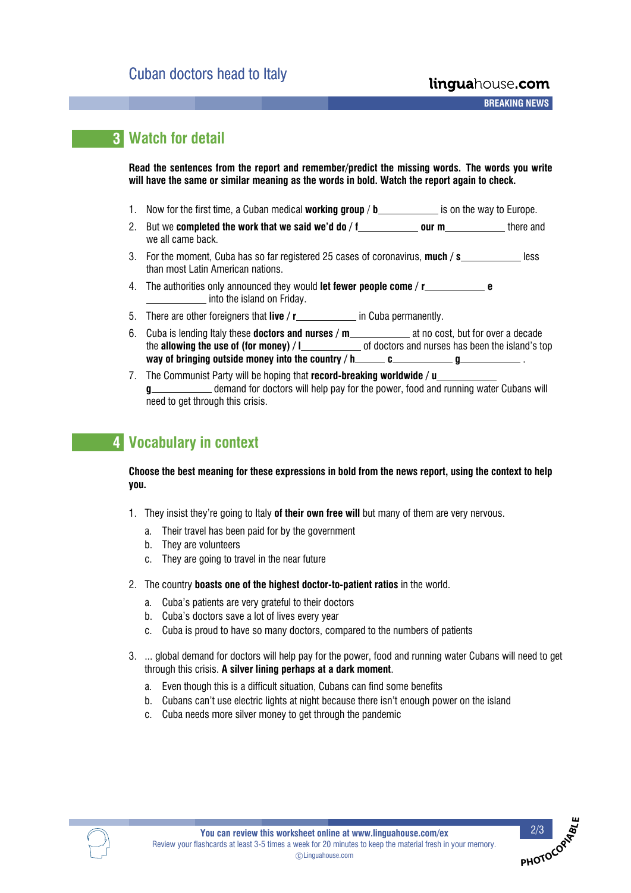**A A A A BREAKING NEWS**

# **3 Watch for detail**

**Read the sentences from the report and remember/predict the missing words. The words you write will have the same or similar meaning as the words in bold. Watch the report again to check.**

- 1. Now for the first time, a Cuban medical **working group** / **b** \_\_\_\_\_\_\_\_\_\_\_\_\_ is on the way to Europe.
- 2. But we **completed the work that we said we'd do / f \_\_\_\_\_\_\_\_\_\_\_ our m \_\_\_\_\_\_\_\_** there and we all came back.
- 3. For the moment, Cuba has so far registered 25 cases of coronavirus, much / s\_\_\_\_\_\_\_\_\_\_\_\_\_ less than most Latin American nations.
- 4. The authorities only announced they would **let fewer people come / r e** \_ into the island on Friday.
- 5. There are other foreigners that **live** / **r in Cuba permanently.**
- 6. Cuba is lending Italy these **doctors and nurses / m** \_\_\_\_\_\_\_\_\_\_\_\_\_ at no cost, but for over a decade the **allowing the use of (for money)** / **l** of doctors and nurses has been the island's top **way of bringing outside money into the country**  $/$  **h<br>** $\qquad c$  $\qquad \qquad g$
- 7. The Communist Party will be hoping that **record-breaking worldwide / u** g **g** demand for doctors will help pay for the power, food and running water Cubans will need to get through this crisis.

# **4 Vocabulary in context**

**Choose the best meaning for these expressions in bold from the news report, using the context to help you.**

- 1. They insist they're going to Italy **of their own free will** but many of them are very nervous.
	- a. Their travel has been paid for by the government
	- b. They are volunteers
	- c. They are going to travel in the near future
- 2. The country **boasts one of the highest doctor-to-patient ratios** in the world.
	- a. Cuba's patients are very grateful to their doctors
	- b. Cuba's doctors save a lot of lives every year
	- c. Cuba is proud to have so many doctors, compared to the numbers of patients
- 3. ... global demand for doctors will help pay for the power, food and running water Cubans will need to get through this crisis. **A silver lining perhaps at a dark moment**.
	- a. Even though this is a difficult situation, Cubans can find some benefits
	- b. Cubans can't use electric lights at night because there isn't enough power on the island
	- c. Cuba needs more silver money to get through the pandemic



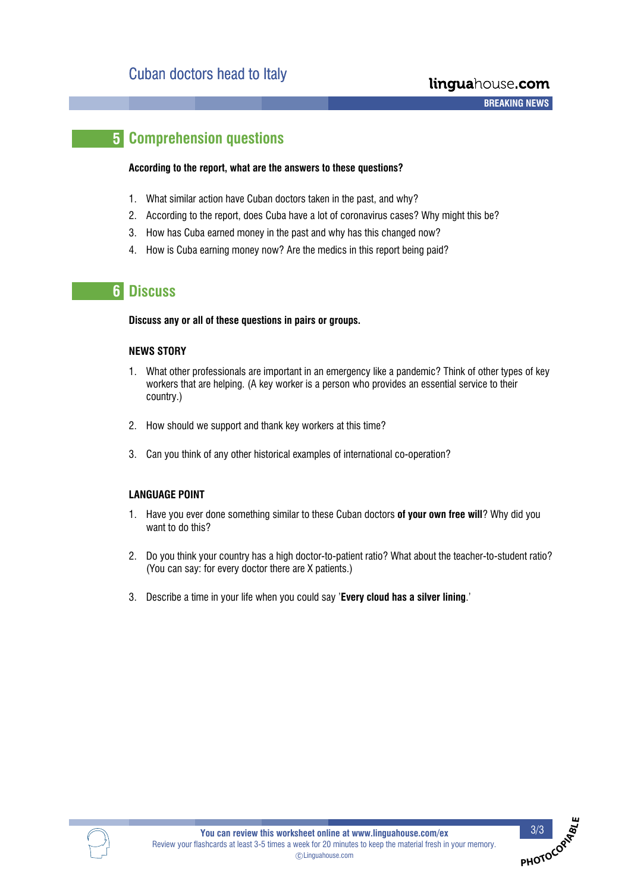**PHOTOCO**O

# **5 Comprehension questions**

## **According to the report, what are the answers to these questions?**

- 1. What similar action have Cuban doctors taken in the past, and why?
- 2. According to the report, does Cuba have a lot of coronavirus cases? Why might this be?
- 3. How has Cuba earned money in the past and why has this changed now?
- 4. How is Cuba earning money now? Are the medics in this report being paid?

# **6 Discuss**

## **Discuss any or all of these questions in pairs or groups.**

## **NEWS STORY**

- 1. What other professionals are important in an emergency like a pandemic? Think of other types of key workers that are helping. (A key worker is a person who provides an essential service to their country.)
- 2. How should we support and thank key workers at this time?
- 3. Can you think of any other historical examples of international co-operation?

## **LANGUAGE POINT**

- 1. Have you ever done something similar to these Cuban doctors **of your own free will**? Why did you want to do this?
- 2. Do you think your country has a high doctor-to-patient ratio? What about the teacher-to-student ratio? (You can say: for every doctor there are X patients.)
- 3. Describe a time in your life when you could say '**Every cloud has a silver lining**.'

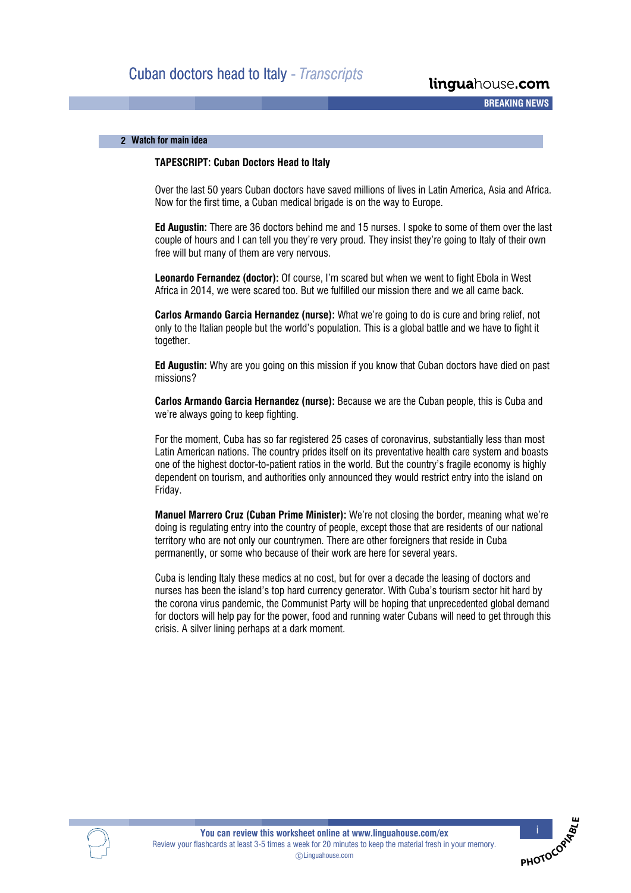## **2**- **Watch for main idea**

## **TAPESCRIPT: Cuban Doctors Head to Italy**

Over the last 50 years Cuban doctors have saved millions of lives in Latin America, Asia and Africa. Now for the first time, a Cuban medical brigade is on the way to Europe.

**Ed Augustin:** There are 36 doctors behind me and 15 nurses. I spoke to some of them over the last couple of hours and I can tell you they're very proud. They insist they're going to Italy of their own free will but many of them are very nervous.

**Leonardo Fernandez (doctor):** Of course, I'm scared but when we went to fight Ebola in West Africa in 2014, we were scared too. But we fulfilled our mission there and we all came back.

**Carlos Armando Garcia Hernandez (nurse):** What we're going to do is cure and bring relief, not only to the Italian people but the world's population. This is a global battle and we have to fight it together.

**Ed Augustin:** Why are you going on this mission if you know that Cuban doctors have died on past missions?

**Carlos Armando Garcia Hernandez (nurse):** Because we are the Cuban people, this is Cuba and we're always going to keep fighting.

For the moment, Cuba has so far registered 25 cases of coronavirus, substantially less than most Latin American nations. The country prides itself on its preventative health care system and boasts one of the highest doctor-to-patient ratios in the world. But the country's fragile economy is highly dependent on tourism, and authorities only announced they would restrict entry into the island on Friday.

**Manuel Marrero Cruz (Cuban Prime Minister):** We're not closing the border, meaning what we're doing is regulating entry into the country of people, except those that are residents of our national territory who are not only our countrymen. There are other foreigners that reside in Cuba permanently, or some who because of their work are here for several years.

Cuba is lending Italy these medics at no cost, but for over a decade the leasing of doctors and nurses has been the island's top hard currency generator. With Cuba's tourism sector hit hard by the corona virus pandemic, the Communist Party will be hoping that unprecedented global demand for doctors will help pay for the power, food and running water Cubans will need to get through this crisis. A silver lining perhaps at a dark moment.



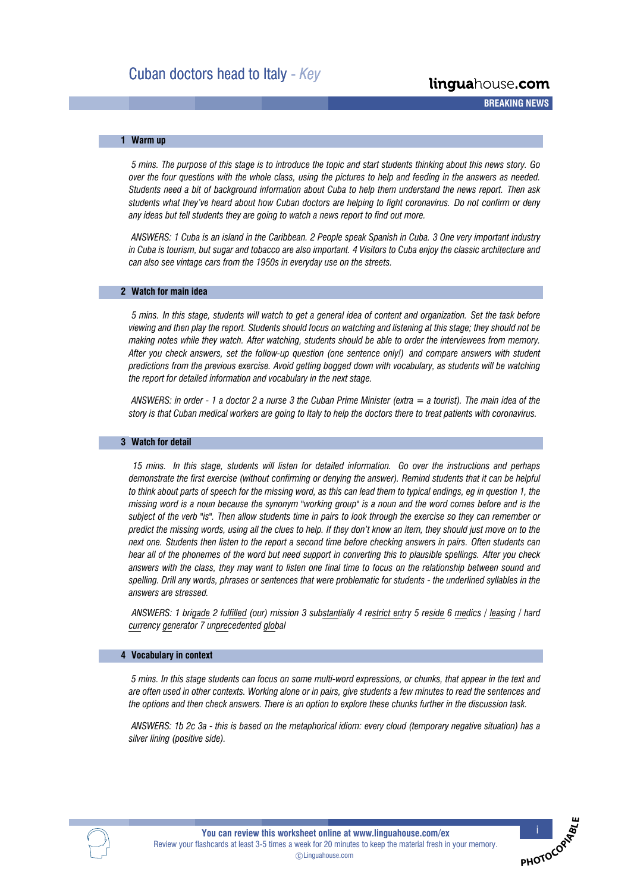**A A A A BREAKING NEWS**

## **1**- **Warm up**

*5 mins. The purpose of this stage is to introduce the topic and start students thinking about this news story. Go over the four questions with the whole class, using the pictures to help and feeding in the answers as needed. Students need a bit of background information about Cuba to help them understand the news report. Then ask students what they've heard about how Cuban doctors are helping to fight coronavirus. Do not confirm or deny any ideas but tell students they are going to watch a news report to find out more.*

*ANSWERS: 1 Cuba is an island in the Caribbean. 2 People speak Spanish in Cuba. 3 One very important industry in Cuba is tourism, but sugar and tobacco are also important. 4 Visitors to Cuba enjoy the classic architecture and can also see vintage cars from the 1950s in everyday use on the streets.*

#### **2**- **Watch for main idea**

*5 mins. In this stage, students will watch to get a general idea of content and organization. Set the task before viewing and then play the report. Students should focus on watching and listening at this stage; they should not be making notes while they watch. After watching, students should be able to order the interviewees from memory. After you check answers, set the follow-up question (one sentence only!) and compare answers with student predictions from the previous exercise. Avoid getting bogged down with vocabulary, as students will be watching the report for detailed information and vocabulary in the next stage.*

*ANSWERS: in order - 1 a doctor 2 a nurse 3 the Cuban Prime Minister (extra = a tourist). The main idea of the story is that Cuban medical workers are going to Italy to help the doctors there to treat patients with coronavirus.*

#### **3**- **Watch for detail**

*15 mins. In this stage, students will listen for detailed information. Go over the instructions and perhaps demonstrate the first exercise (without confirming or denying the answer). Remind students that it can be helpful to think about parts of speech for the missing word, as this can lead them to typical endings, eg in question 1, the missing word is a noun because the synonym "working group" is a noun and the word comes before and is the subject of the verb "is". Then allow students time in pairs to look through the exercise so they can remember or predict the missing words, using all the clues to help. If they don't know an item, they should just move on to the next one. Students then listen to the report a second time before checking answers in pairs. Often students can hear all of the phonemes of the word but need support in converting this to plausible spellings. After you check answers with the class, they may want to listen one final time to focus on the relationship between sound and spelling. Drill any words, phrases or sentences that were problematic for students - the underlined syllables in the answers are stressed.*

*ANSWERS: 1 brigade 2 fulfilled (our) mission 3 substantially 4 restrict entry 5 reside 6 medics / leasing / hard currency generator 7 unprecedented global*

#### **4**- **Vocabulary in context**

*5 mins. In this stage students can focus on some multi-word expressions, or chunks, that appear in the text and are often used in other contexts. Working alone or in pairs, give students a few minutes to read the sentences and the options and then check answers. There is an option to explore these chunks further in the discussion task.*

*ANSWERS: 1b 2c 3a - this is based on the metaphorical idiom: every cloud (temporary negative situation) has a silver lining (positive side).*